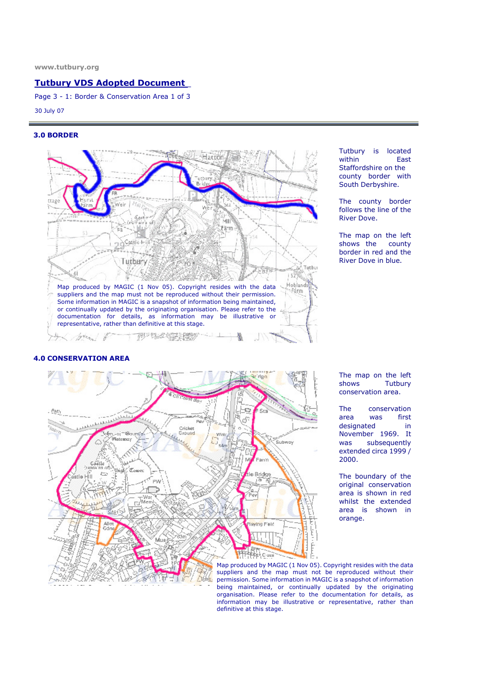# Tutbury VDS Adopted Document

Page 3 - 1: Border & Conservation Area 1 of 3

30 July 07

#### 3.0 BORDER



### 4.0 CONSERVATION AREA



Tutbury is located<br>within East within Staffordshire on the county border with South Derbyshire.

The county border follows the line of the River Dove.

The map on the left<br>shows the county shows the border in red and the River Dove in blue.

The map on the left shows Tutbury conservation area.

The conservation<br>area was first area was first designated in November 1969. It was subsequently extended circa 1999 / 2000.

The boundary of the original conservation area is shown in red whilst the extended area is shown in orange.

Map produced by MAGIC (1 Nov 05). Copyright resides with the data suppliers and the map must not be reproduced without their permission. Some information in MAGIC is a snapshot of information being maintained, or continually updated by the originating organisation. Please refer to the documentation for details, as information may be illustrative or representative, rather than definitive at this stage.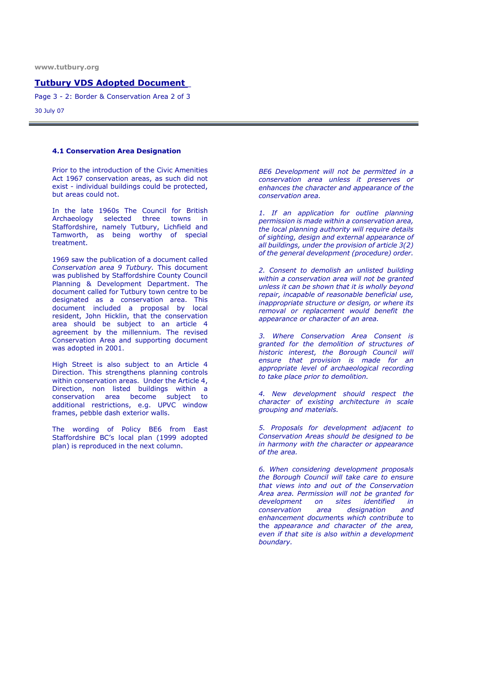## Tutbury VDS Adopted Document

Page 3 - 2: Border & Conservation Area 2 of 3

30 July 07

#### 4.1 Conservation Area Designation

Prior to the introduction of the Civic Amenities Act 1967 conservation areas, as such did not exist - individual buildings could be protected, but areas could not.

In the late 1960s The Council for British Archaeology selected three towns in Staffordshire, namely Tutbury, Lichfield and Tamworth, as being worthy of special treatment.

1969 saw the publication of a document called Conservation area 9 Tutbury. This document was published by Staffordshire County Council Planning & Development Department. The document called for Tutbury town centre to be designated as a conservation area. This document included a proposal by local resident, John Hicklin, that the conservation area should be subject to an article 4 agreement by the millennium. The revised Conservation Area and supporting document was adopted in 2001.

High Street is also subject to an Article 4 Direction. This strengthens planning controls within conservation areas. Under the Article 4, Direction, non listed buildings within a conservation area become subject to additional restrictions, e.g. UPVC window frames, pebble dash exterior walls.

The wording of Policy BE6 from East Staffordshire BC's local plan (1999 adopted plan) is reproduced in the next column.

BE6 Development will not be permitted in a conservation area unless it preserves or enhances the character and appearance of the conservation area.

1. If an application for outline planning permission is made within a conservation area, the local planning authority will require details of sighting, design and external appearance of all buildings, under the provision of article 3(2) of the general development (procedure) order.

2. Consent to demolish an unlisted building within a conservation area will not be granted unless it can be shown that it is wholly beyond repair, incapable of reasonable beneficial use, inappropriate structure or design, or where its removal or replacement would benefit the appearance or character of an area.

3. Where Conservation Area Consent is granted for the demolition of structures of historic interest, the Borough Council will ensure that provision is made for an appropriate level of archaeological recording to take place prior to demolition.

4. New development should respect the character of existing architecture in scale grouping and materials.

5. Proposals for development adjacent to Conservation Areas should be designed to be in harmony with the character or appearance of the area.

6. When considering development proposals the Borough Council will take care to ensure that views into and out of the Conservation Area area. Permission will not be granted for development on sites identified in conservation area designation and enhancement documents which contribute to the appearance and character of the area, even if that site is also within a development boundary.